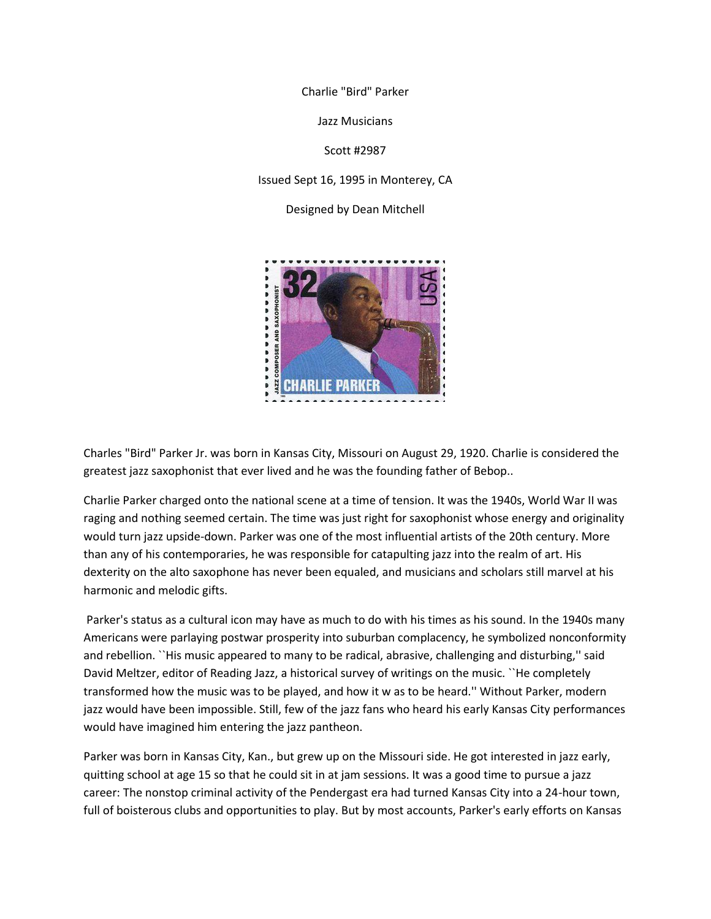Charlie "Bird" Parker

Jazz Musicians

Scott #2987

Issued Sept 16, 1995 in Monterey, CA

Designed by Dean Mitchell



Charles "Bird" Parker Jr. was born in Kansas City, Missouri on August 29, 1920. Charlie is considered the greatest jazz saxophonist that ever lived and he was the founding father of Bebop..

Charlie Parker charged onto the national scene at a time of tension. It was the 1940s, World War II was raging and nothing seemed certain. The time was just right for saxophonist whose energy and originality would turn jazz upside-down. Parker was one of the most influential artists of the 20th century. More than any of his contemporaries, he was responsible for catapulting jazz into the realm of art. His dexterity on the alto saxophone has never been equaled, and musicians and scholars still marvel at his harmonic and melodic gifts.

Parker's status as a cultural icon may have as much to do with his times as his sound. In the 1940s many Americans were parlaying postwar prosperity into suburban complacency, he symbolized nonconformity and rebellion. ``His music appeared to many to be radical, abrasive, challenging and disturbing,'' said David Meltzer, editor of Reading Jazz, a historical survey of writings on the music. ``He completely transformed how the music was to be played, and how it w as to be heard.'' Without Parker, modern jazz would have been impossible. Still, few of the jazz fans who heard his early Kansas City performances would have imagined him entering the jazz pantheon.

Parker was born in Kansas City, Kan., but grew up on the Missouri side. He got interested in jazz early, quitting school at age 15 so that he could sit in at jam sessions. It was a good time to pursue a jazz career: The nonstop criminal activity of the Pendergast era had turned Kansas City into a 24-hour town, full of boisterous clubs and opportunities to play. But by most accounts, Parker's early efforts on Kansas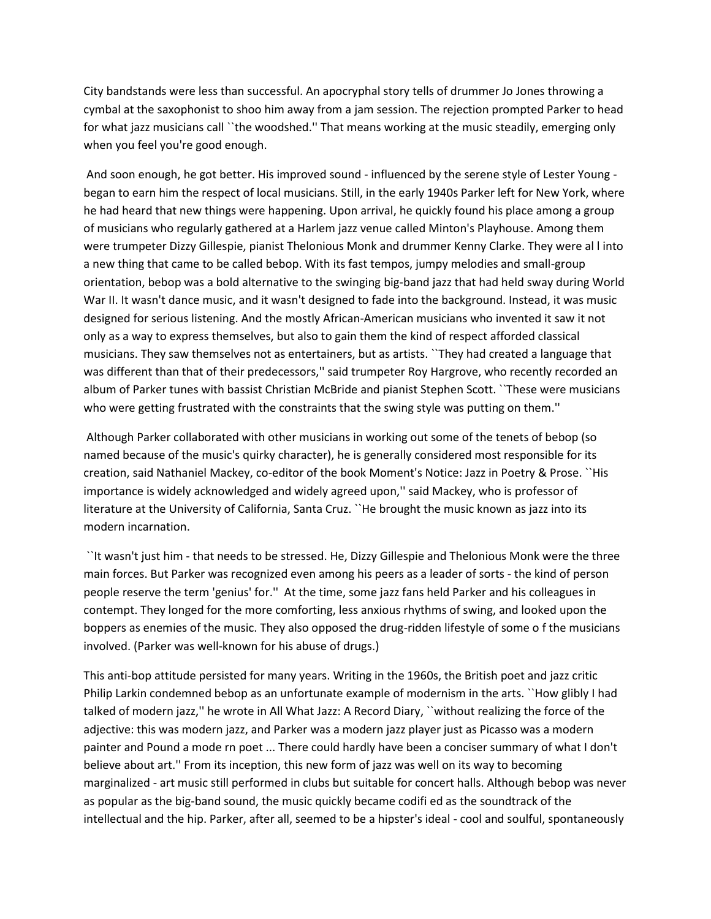City bandstands were less than successful. An apocryphal story tells of drummer Jo Jones throwing a cymbal at the saxophonist to shoo him away from a jam session. The rejection prompted Parker to head for what jazz musicians call ``the woodshed.'' That means working at the music steadily, emerging only when you feel you're good enough.

And soon enough, he got better. His improved sound - influenced by the serene style of Lester Young began to earn him the respect of local musicians. Still, in the early 1940s Parker left for New York, where he had heard that new things were happening. Upon arrival, he quickly found his place among a group of musicians who regularly gathered at a Harlem jazz venue called Minton's Playhouse. Among them were trumpeter Dizzy Gillespie, pianist Thelonious Monk and drummer Kenny Clarke. They were al l into a new thing that came to be called bebop. With its fast tempos, jumpy melodies and small-group orientation, bebop was a bold alternative to the swinging big-band jazz that had held sway during World War II. It wasn't dance music, and it wasn't designed to fade into the background. Instead, it was music designed for serious listening. And the mostly African-American musicians who invented it saw it not only as a way to express themselves, but also to gain them the kind of respect afforded classical musicians. They saw themselves not as entertainers, but as artists. ``They had created a language that was different than that of their predecessors,'' said trumpeter Roy Hargrove, who recently recorded an album of Parker tunes with bassist Christian McBride and pianist Stephen Scott. ``These were musicians who were getting frustrated with the constraints that the swing style was putting on them.''

Although Parker collaborated with other musicians in working out some of the tenets of bebop (so named because of the music's quirky character), he is generally considered most responsible for its creation, said Nathaniel Mackey, co-editor of the book Moment's Notice: Jazz in Poetry & Prose. ``His importance is widely acknowledged and widely agreed upon,'' said Mackey, who is professor of literature at the University of California, Santa Cruz. ``He brought the music known as jazz into its modern incarnation.

``It wasn't just him - that needs to be stressed. He, Dizzy Gillespie and Thelonious Monk were the three main forces. But Parker was recognized even among his peers as a leader of sorts - the kind of person people reserve the term 'genius' for.'' At the time, some jazz fans held Parker and his colleagues in contempt. They longed for the more comforting, less anxious rhythms of swing, and looked upon the boppers as enemies of the music. They also opposed the drug-ridden lifestyle of some o f the musicians involved. (Parker was well-known for his abuse of drugs.)

This anti-bop attitude persisted for many years. Writing in the 1960s, the British poet and jazz critic Philip Larkin condemned bebop as an unfortunate example of modernism in the arts. "How glibly I had talked of modern jazz,'' he wrote in All What Jazz: A Record Diary, ``without realizing the force of the adjective: this was modern jazz, and Parker was a modern jazz player just as Picasso was a modern painter and Pound a mode rn poet ... There could hardly have been a conciser summary of what I don't believe about art.'' From its inception, this new form of jazz was well on its way to becoming marginalized - art music still performed in clubs but suitable for concert halls. Although bebop was never as popular as the big-band sound, the music quickly became codifi ed as the soundtrack of the intellectual and the hip. Parker, after all, seemed to be a hipster's ideal - cool and soulful, spontaneously